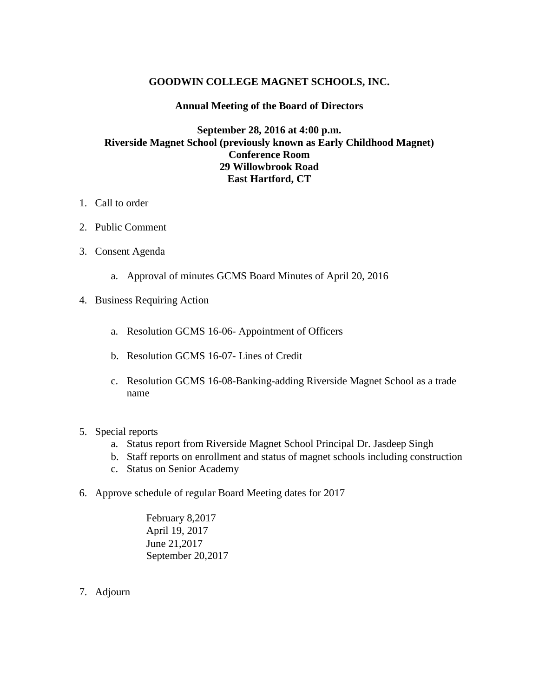## **GOODWIN COLLEGE MAGNET SCHOOLS, INC.**

## **Annual Meeting of the Board of Directors**

## **September 28, 2016 at 4:00 p.m. Riverside Magnet School (previously known as Early Childhood Magnet) Conference Room 29 Willowbrook Road East Hartford, CT**

- 1. Call to order
- 2. Public Comment
- 3. Consent Agenda
	- a. Approval of minutes GCMS Board Minutes of April 20, 2016
- 4. Business Requiring Action
	- a. Resolution GCMS 16-06- Appointment of Officers
	- b. Resolution GCMS 16-07- Lines of Credit
	- c. Resolution GCMS 16-08-Banking-adding Riverside Magnet School as a trade name
- 5. Special reports
	- a. Status report from Riverside Magnet School Principal Dr. Jasdeep Singh
	- b. Staff reports on enrollment and status of magnet schools including construction
	- c. Status on Senior Academy
- 6. Approve schedule of regular Board Meeting dates for 2017

February 8,2017 April 19, 2017 June 21,2017 September 20,2017

7. Adjourn